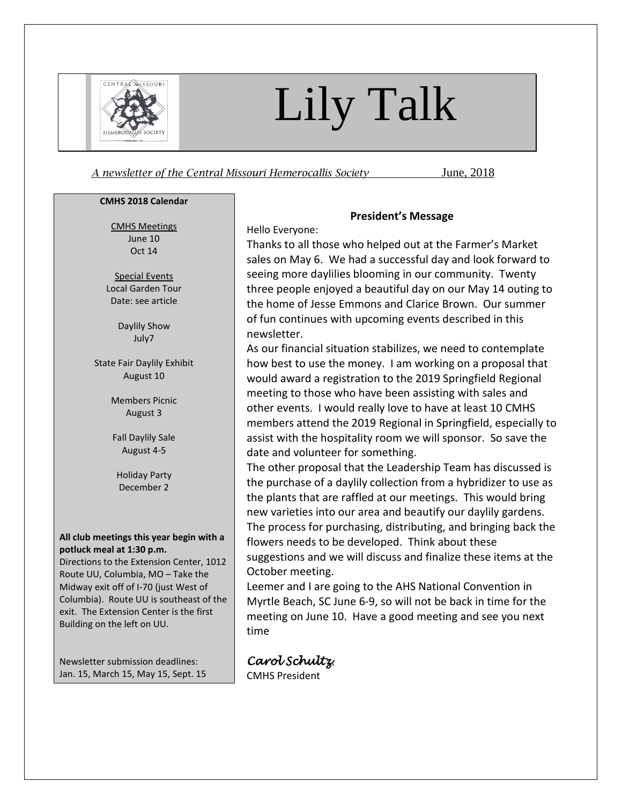

# Lily Talk

*A newsletter of the Central Missouri Hemerocallis Society* June, 2018

#### **CMHS 2018 Calendar**

CMHS Meetings June 10 Oct 14

Special Events Local Garden Tour Date: see article

> Daylily Show July7

State Fair Daylily Exhibit August 10

> Members Picnic August 3

Fall Daylily Sale August 4-5

Holiday Party December 2

#### **All club meetings this year begin with a potluck meal at 1:30 p.m.**

Directions to the Extension Center, 1012 Route UU, Columbia, MO – Take the Midway exit off of I-70 (just West of Columbia). Route UU is southeast of the exit. The Extension Center is the first Building on the left on UU.

Newsletter submission deadlines: Jan. 15, March 15, May 15, Sept. 15

#### **President's Message**

Hello Everyone:

Thanks to all those who helped out at the Farmer's Market sales on May 6. We had a successful day and look forward to seeing more daylilies blooming in our community. Twenty three people enjoyed a beautiful day on our May 14 outing to the home of Jesse Emmons and Clarice Brown. Our summer of fun continues with upcoming events described in this newsletter.

As our financial situation stabilizes, we need to contemplate how best to use the money. I am working on a proposal that would award a registration to the 2019 Springfield Regional meeting to those who have been assisting with sales and other events. I would really love to have at least 10 CMHS members attend the 2019 Regional in Springfield, especially to assist with the hospitality room we will sponsor. So save the date and volunteer for something.

The other proposal that the Leadership Team has discussed is the purchase of a daylily collection from a hybridizer to use as the plants that are raffled at our meetings. This would bring new varieties into our area and beautify our daylily gardens. The process for purchasing, distributing, and bringing back the flowers needs to be developed. Think about these suggestions and we will discuss and finalize these items at the October meeting.

Leemer and I are going to the AHS National Convention in Myrtle Beach, SC June 6-9, so will not be back in time for the meeting on June 10. Have a good meeting and see you next time

*Carol Schultz*, CMHS President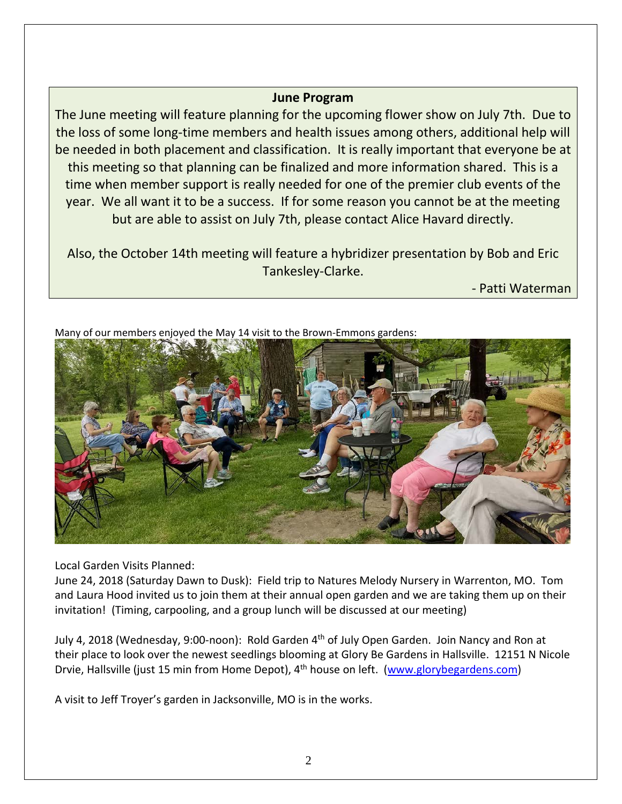## **June Program**

The June meeting will feature planning for the upcoming flower show on July 7th. Due to the loss of some long-time members and health issues among others, additional help will be needed in both placement and classification. It is really important that everyone be at this meeting so that planning can be finalized and more information shared. This is a time when member support is really needed for one of the premier club events of the year. We all want it to be a success. If for some reason you cannot be at the meeting but are able to assist on July 7th, please contact Alice Havard directly.

Also, the October 14th meeting will feature a hybridizer presentation by Bob and Eric Tankesley-Clarke.

- Patti Waterman



Many of our members enjoyed the May 14 visit to the Brown-Emmons gardens:

Local Garden Visits Planned:

June 24, 2018 (Saturday Dawn to Dusk): Field trip to Natures Melody Nursery in Warrenton, MO. Tom and Laura Hood invited us to join them at their annual open garden and we are taking them up on their invitation! (Timing, carpooling, and a group lunch will be discussed at our meeting)

July 4, 2018 (Wednesday, 9:00-noon): Rold Garden 4<sup>th</sup> of July Open Garden. Join Nancy and Ron at their place to look over the newest seedlings blooming at Glory Be Gardens in Hallsville. 12151 N Nicole Drvie, Hallsville (just 15 min from Home Depot), 4<sup>th</sup> house on left. [\(www.glorybegardens.com\)](http://www.glorybegardens.com/)

A visit to Jeff Troyer's garden in Jacksonville, MO is in the works.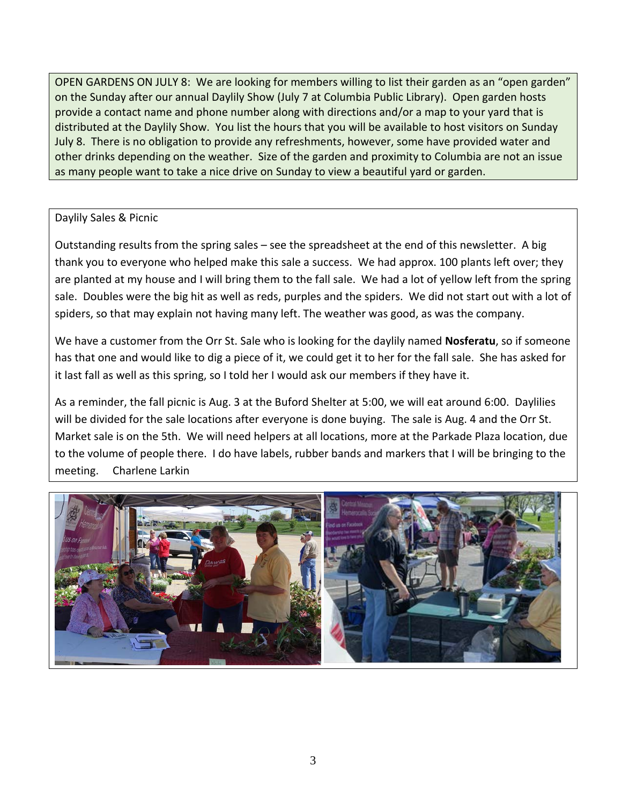OPEN GARDENS ON JULY 8: We are looking for members willing to list their garden as an "open garden" on the Sunday after our annual Daylily Show (July 7 at Columbia Public Library). Open garden hosts provide a contact name and phone number along with directions and/or a map to your yard that is distributed at the Daylily Show. You list the hours that you will be available to host visitors on Sunday July 8. There is no obligation to provide any refreshments, however, some have provided water and other drinks depending on the weather. Size of the garden and proximity to Columbia are not an issue as many people want to take a nice drive on Sunday to view a beautiful yard or garden.

#### Daylily Sales & Picnic

Outstanding results from the spring sales – see the spreadsheet at the end of this newsletter. A big thank you to everyone who helped make this sale a success. We had approx. 100 plants left over; they are planted at my house and I will bring them to the fall sale. We had a lot of yellow left from the spring sale. Doubles were the big hit as well as reds, purples and the spiders. We did not start out with a lot of spiders, so that may explain not having many left. The weather was good, as was the company.

We have a customer from the Orr St. Sale who is looking for the daylily named **Nosferatu**, so if someone has that one and would like to dig a piece of it, we could get it to her for the fall sale. She has asked for it last fall as well as this spring, so I told her I would ask our members if they have it.

As a reminder, the fall picnic is Aug. 3 at the Buford Shelter at 5:00, we will eat around 6:00. Daylilies will be divided for the sale locations after everyone is done buying. The sale is Aug. 4 and the Orr St. Market sale is on the 5th. We will need helpers at all locations, more at the Parkade Plaza location, due to the volume of people there. I do have labels, rubber bands and markers that I will be bringing to the meeting. Charlene Larkin

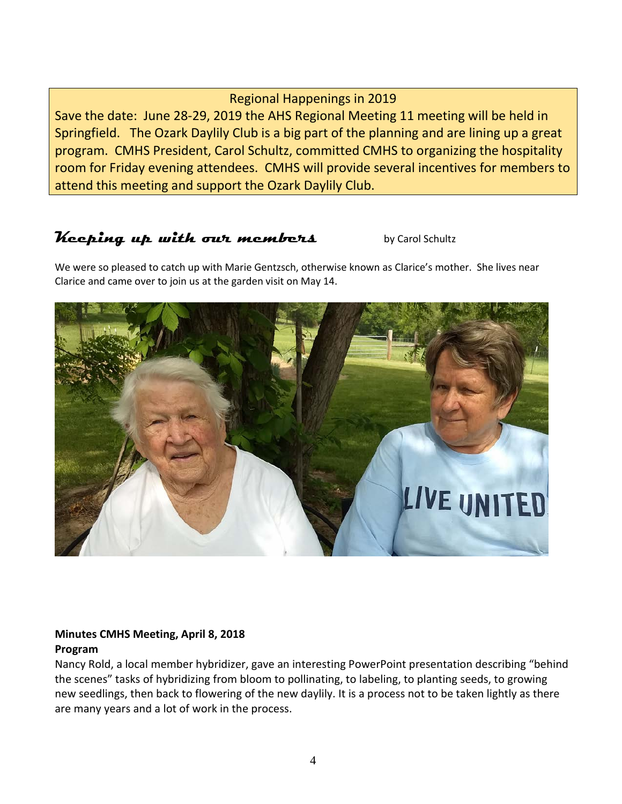## Regional Happenings in 2019

Save the date: June 28-29, 2019 the AHS Regional Meeting 11 meeting will be held in Springfield. The Ozark Daylily Club is a big part of the planning and are lining up a great program. CMHS President, Carol Schultz, committed CMHS to organizing the hospitality room for Friday evening attendees. CMHS will provide several incentives for members to attend this meeting and support the Ozark Daylily Club.

# *Keeping up with out members* by Carol Schultz

We were so pleased to catch up with Marie Gentzsch, otherwise known as Clarice's mother. She lives near Clarice and came over to join us at the garden visit on May 14.



# **Minutes CMHS Meeting, April 8, 2018**

#### **Program**

Nancy Rold, a local member hybridizer, gave an interesting PowerPoint presentation describing "behind the scenes" tasks of hybridizing from bloom to pollinating, to labeling, to planting seeds, to growing new seedlings, then back to flowering of the new daylily. It is a process not to be taken lightly as there are many years and a lot of work in the process.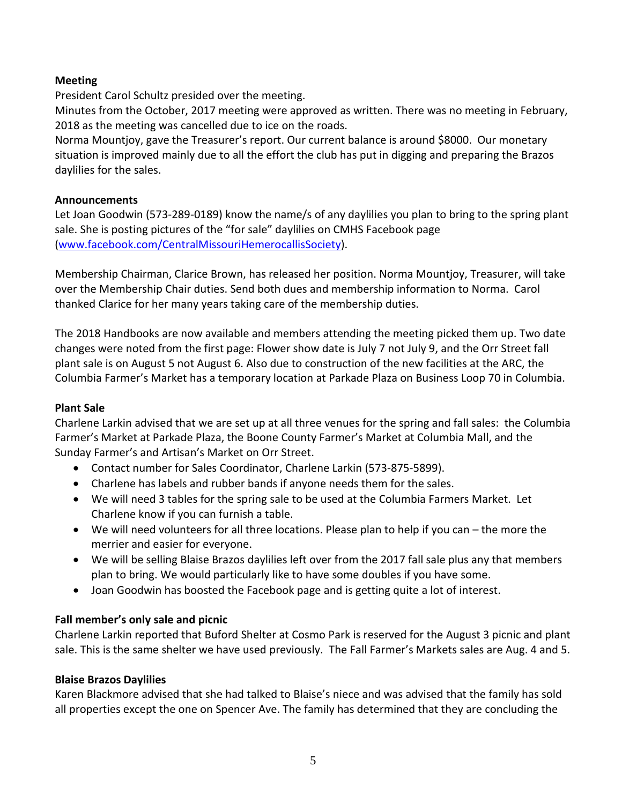#### **Meeting**

President Carol Schultz presided over the meeting.

Minutes from the October, 2017 meeting were approved as written. There was no meeting in February, 2018 as the meeting was cancelled due to ice on the roads.

Norma Mountjoy, gave the Treasurer's report. Our current balance is around \$8000. Our monetary situation is improved mainly due to all the effort the club has put in digging and preparing the Brazos daylilies for the sales.

#### **Announcements**

Let Joan Goodwin (573-289-0189) know the name/s of any daylilies you plan to bring to the spring plant sale. She is posting pictures of the "for sale" daylilies on CMHS Facebook page [\(www.facebook.com/CentralMissouriHemerocallisSociety\)](http://www.facebook.com/CentralMissouriHemerocallisSociety).

Membership Chairman, Clarice Brown, has released her position. Norma Mountjoy, Treasurer, will take over the Membership Chair duties. Send both dues and membership information to Norma. Carol thanked Clarice for her many years taking care of the membership duties.

The 2018 Handbooks are now available and members attending the meeting picked them up. Two date changes were noted from the first page: Flower show date is July 7 not July 9, and the Orr Street fall plant sale is on August 5 not August 6. Also due to construction of the new facilities at the ARC, the Columbia Farmer's Market has a temporary location at Parkade Plaza on Business Loop 70 in Columbia.

#### **Plant Sale**

Charlene Larkin advised that we are set up at all three venues for the spring and fall sales: the Columbia Farmer's Market at Parkade Plaza, the Boone County Farmer's Market at Columbia Mall, and the Sunday Farmer's and Artisan's Market on Orr Street.

- Contact number for Sales Coordinator, Charlene Larkin (573-875-5899).
- Charlene has labels and rubber bands if anyone needs them for the sales.
- We will need 3 tables for the spring sale to be used at the Columbia Farmers Market. Let Charlene know if you can furnish a table.
- We will need volunteers for all three locations. Please plan to help if you can the more the merrier and easier for everyone.
- We will be selling Blaise Brazos daylilies left over from the 2017 fall sale plus any that members plan to bring. We would particularly like to have some doubles if you have some.
- Joan Goodwin has boosted the Facebook page and is getting quite a lot of interest.

#### **Fall member's only sale and picnic**

Charlene Larkin reported that Buford Shelter at Cosmo Park is reserved for the August 3 picnic and plant sale. This is the same shelter we have used previously. The Fall Farmer's Markets sales are Aug. 4 and 5.

#### **Blaise Brazos Daylilies**

Karen Blackmore advised that she had talked to Blaise's niece and was advised that the family has sold all properties except the one on Spencer Ave. The family has determined that they are concluding the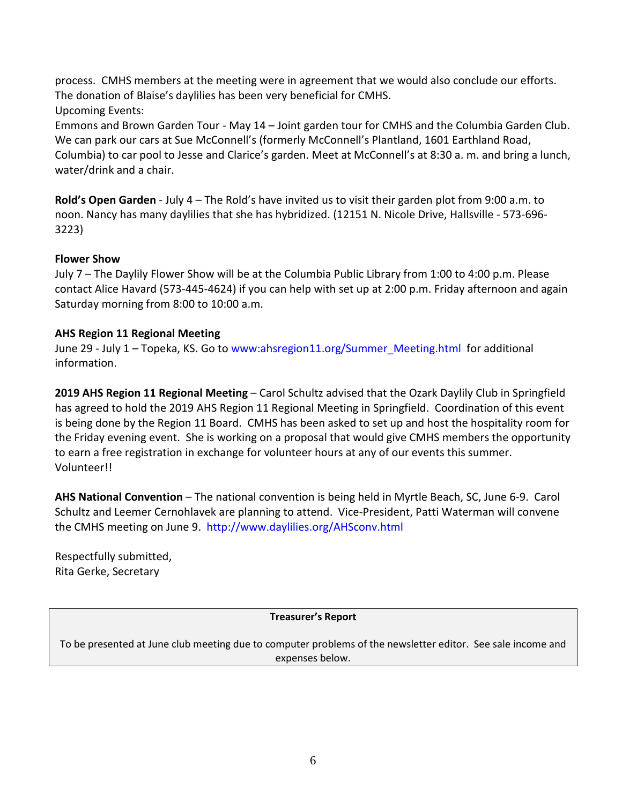process. CMHS members at the meeting were in agreement that we would also conclude our efforts. The donation of Blaise's daylilies has been very beneficial for CMHS. Upcoming Events:

Emmons and Brown Garden Tour - May 14 – Joint garden tour for CMHS and the Columbia Garden Club. We can park our cars at Sue McConnell's (formerly McConnell's Plantland, 1601 Earthland Road, Columbia) to car pool to Jesse and Clarice's garden. Meet at McConnell's at 8:30 a. m. and bring a lunch, water/drink and a chair.

**Rold's Open Garden** - July 4 – The Rold's have invited us to visit their garden plot from 9:00 a.m. to noon. Nancy has many daylilies that she has hybridized. (12151 N. Nicole Drive, Hallsville - 573-696- 3223)

#### **Flower Show**

July 7 – The Daylily Flower Show will be at the Columbia Public Library from 1:00 to 4:00 p.m. Please contact Alice Havard (573-445-4624) if you can help with set up at 2:00 p.m. Friday afternoon and again Saturday morning from 8:00 to 10:00 a.m.

#### **AHS Region 11 Regional Meeting**

June 29 - July 1 - Topeka, KS. Go to www:ahsregion11.org/Summer\_Meeting.html for additional information.

**2019 AHS Region 11 Regional Meeting** – Carol Schultz advised that the Ozark Daylily Club in Springfield has agreed to hold the 2019 AHS Region 11 Regional Meeting in Springfield. Coordination of this event is being done by the Region 11 Board. CMHS has been asked to set up and host the hospitality room for the Friday evening event. She is working on a proposal that would give CMHS members the opportunity to earn a free registration in exchange for volunteer hours at any of our events this summer. Volunteer!!

**AHS National Convention** – The national convention is being held in Myrtle Beach, SC, June 6-9. Carol Schultz and Leemer Cernohlavek are planning to attend. Vice-President, Patti Waterman will convene the CMHS meeting on June 9. http://www.daylilies.org/AHSconv.html

Respectfully submitted, Rita Gerke, Secretary

#### **Treasurer's Report**

To be presented at June club meeting due to computer problems of the newsletter editor. See sale income and expenses below.